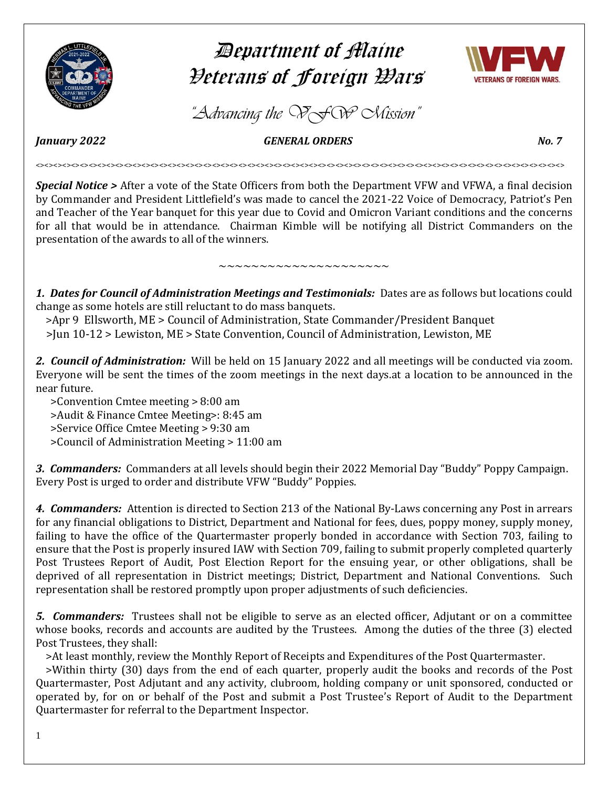

# Department of Maine Veterans of Foreign Wars



*"Advancing the VFW Mission"*

*January 2022 GENERAL ORDERS No. 7* 

<><><><><><><><><><><><><><><><><><><><><><><><><><><><><><><><><><><><><><><><><><><><><><><><><><><><><><><><><><><><>

*Special Notice >* After a vote of the State Officers from both the Department VFW and VFWA, a final decision by Commander and President Littlefield's was made to cancel the 2021-22 Voice of Democracy, Patriot's Pen and Teacher of the Year banquet for this year due to Covid and Omicron Variant conditions and the concerns for all that would be in attendance. Chairman Kimble will be notifying all District Commanders on the presentation of the awards to all of the winners.

*1. Dates for Council of Administration Meetings and Testimonials:* Dates are as follows but locations could change as some hotels are still reluctant to do mass banquets.

 $\sim\sim\sim\sim\sim\sim\sim\sim\sim\sim\sim\sim\sim\sim\sim\sim\sim\sim$ 

>Apr 9 Ellsworth, ME > Council of Administration, State Commander/President Banquet

>Jun 10-12 > Lewiston, ME > State Convention, Council of Administration, Lewiston, ME

*2. Council of Administration:* Will be held on 15 January 2022 and all meetings will be conducted via zoom. Everyone will be sent the times of the zoom meetings in the next days.at a location to be announced in the near future.

 >Convention Cmtee meeting > 8:00 am >Audit & Finance Cmtee Meeting>: 8:45 am >Service Office Cmtee Meeting > 9:30 am >Council of Administration Meeting > 11:00 am

*3. Commanders:* Commanders at all levels should begin their 2022 Memorial Day "Buddy" Poppy Campaign. Every Post is urged to order and distribute VFW "Buddy" Poppies.

*4. Commanders:* Attention is directed to Section 213 of the National By-Laws concerning any Post in arrears for any financial obligations to District, Department and National for fees, dues, poppy money, supply money, failing to have the office of the Quartermaster properly bonded in accordance with Section 703, failing to ensure that the Post is properly insured IAW with Section 709, failing to submit properly completed quarterly Post Trustees Report of Audit, Post Election Report for the ensuing year, or other obligations, shall be deprived of all representation in District meetings; District, Department and National Conventions. Such representation shall be restored promptly upon proper adjustments of such deficiencies.

*5. Commanders:* Trustees shall not be eligible to serve as an elected officer, Adjutant or on a committee whose books, records and accounts are audited by the Trustees. Among the duties of the three (3) elected Post Trustees, they shall:

>At least monthly, review the Monthly Report of Receipts and Expenditures of the Post Quartermaster.

 >Within thirty (30) days from the end of each quarter, properly audit the books and records of the Post Quartermaster, Post Adjutant and any activity, clubroom, holding company or unit sponsored, conducted or operated by, for on or behalf of the Post and submit a Post Trustee's Report of Audit to the Department Quartermaster for referral to the Department Inspector.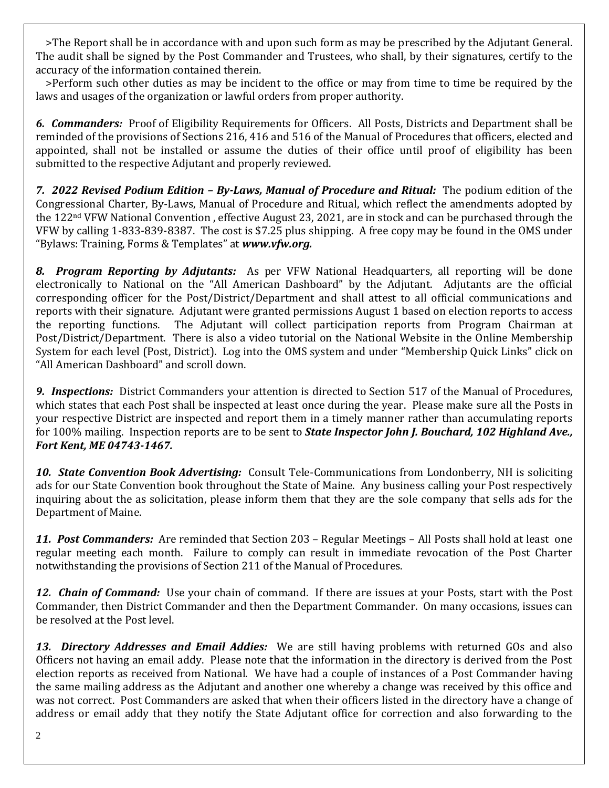>The Report shall be in accordance with and upon such form as may be prescribed by the Adjutant General. The audit shall be signed by the Post Commander and Trustees, who shall, by their signatures, certify to the accuracy of the information contained therein.

 >Perform such other duties as may be incident to the office or may from time to time be required by the laws and usages of the organization or lawful orders from proper authority.

*6. Commanders:* Proof of Eligibility Requirements for Officers. All Posts, Districts and Department shall be reminded of the provisions of Sections 216, 416 and 516 of the Manual of Procedures that officers, elected and appointed, shall not be installed or assume the duties of their office until proof of eligibility has been submitted to the respective Adjutant and properly reviewed.

*7. 2022 Revised Podium Edition – By-Laws, Manual of Procedure and Ritual:* The podium edition of the Congressional Charter, By-Laws, Manual of Procedure and Ritual, which reflect the amendments adopted by the 122nd VFW National Convention , effective August 23, 2021, are in stock and can be purchased through the VFW by calling 1-833-839-8387. The cost is \$7.25 plus shipping. A free copy may be found in the OMS under "Bylaws: Training, Forms & Templates" at *[www.vfw.org.](http://www.vfw.org/)*

*8. Program Reporting by Adjutants:* As per VFW National Headquarters, all reporting will be done electronically to National on the "All American Dashboard" by the Adjutant. Adjutants are the official corresponding officer for the Post/District/Department and shall attest to all official communications and reports with their signature. Adjutant were granted permissions August 1 based on election reports to access the reporting functions. The Adjutant will collect participation reports from Program Chairman at Post/District/Department. There is also a video tutorial on the National Website in the Online Membership System for each level (Post, District). Log into the OMS system and under "Membership Quick Links" click on "All American Dashboard" and scroll down.

*9. Inspections:* District Commanders your attention is directed to Section 517 of the Manual of Procedures, which states that each Post shall be inspected at least once during the year. Please make sure all the Posts in your respective District are inspected and report them in a timely manner rather than accumulating reports for 100% mailing. Inspection reports are to be sent to *State Inspector John J. Bouchard, 102 Highland Ave., Fort Kent, ME 04743-1467.*

*10. State Convention Book Advertising:* Consult Tele-Communications from Londonberry, NH is soliciting ads for our State Convention book throughout the State of Maine. Any business calling your Post respectively inquiring about the as solicitation, please inform them that they are the sole company that sells ads for the Department of Maine.

*11. Post Commanders:* Are reminded that Section 203 – Regular Meetings – All Posts shall hold at least one regular meeting each month. Failure to comply can result in immediate revocation of the Post Charter notwithstanding the provisions of Section 211 of the Manual of Procedures.

*12. Chain of Command:* Use your chain of command. If there are issues at your Posts, start with the Post Commander, then District Commander and then the Department Commander. On many occasions, issues can be resolved at the Post level.

*13. Directory Addresses and Email Addies:* We are still having problems with returned GOs and also Officers not having an email addy. Please note that the information in the directory is derived from the Post election reports as received from National. We have had a couple of instances of a Post Commander having the same mailing address as the Adjutant and another one whereby a change was received by this office and was not correct. Post Commanders are asked that when their officers listed in the directory have a change of address or email addy that they notify the State Adjutant office for correction and also forwarding to the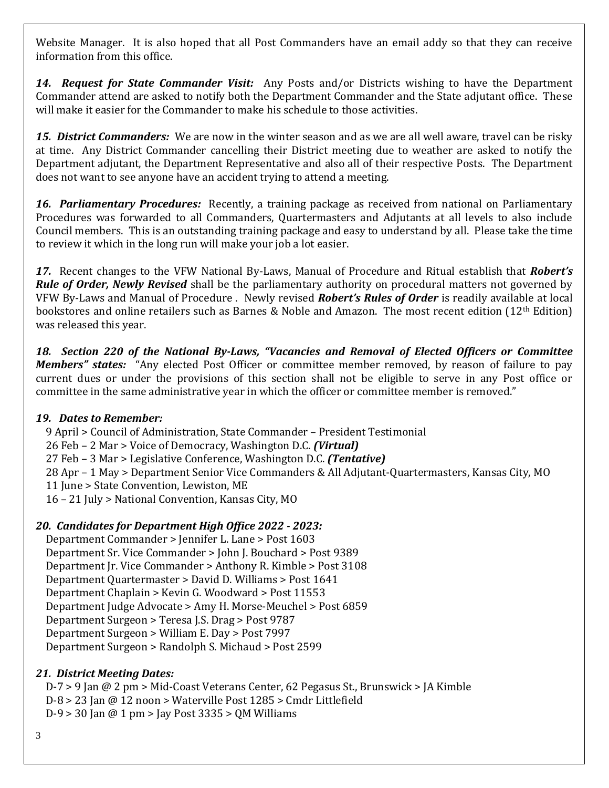Website Manager. It is also hoped that all Post Commanders have an email addy so that they can receive information from this office.

*14. Request for State Commander Visit:* Any Posts and/or Districts wishing to have the Department Commander attend are asked to notify both the Department Commander and the State adjutant office. These will make it easier for the Commander to make his schedule to those activities.

*15. District Commanders:* We are now in the winter season and as we are all well aware, travel can be risky at time. Any District Commander cancelling their District meeting due to weather are asked to notify the Department adjutant, the Department Representative and also all of their respective Posts. The Department does not want to see anyone have an accident trying to attend a meeting.

*16. Parliamentary Procedures:* Recently, a training package as received from national on Parliamentary Procedures was forwarded to all Commanders, Quartermasters and Adjutants at all levels to also include Council members. This is an outstanding training package and easy to understand by all. Please take the time to review it which in the long run will make your job a lot easier.

*17.* Recent changes to the VFW National By-Laws, Manual of Procedure and Ritual establish that *Robert's Rule of Order, Newly Revised* shall be the parliamentary authority on procedural matters not governed by VFW By-Laws and Manual of Procedure . Newly revised *Robert's Rules of Order* is readily available at local bookstores and online retailers such as Barnes & Noble and Amazon. The most recent edition (12<sup>th</sup> Edition) was released this year.

*18. Section 220 of the National By-Laws, "Vacancies and Removal of Elected Officers or Committee Members" states:* "Any elected Post Officer or committee member removed, by reason of failure to pay current dues or under the provisions of this section shall not be eligible to serve in any Post office or committee in the same administrative year in which the officer or committee member is removed."

# *19. Dates to Remember:*

9 April > Council of Administration, State Commander – President Testimonial

26 Feb – 2 Mar > Voice of Democracy, Washington D.C. *(Virtual)*

27 Feb – 3 Mar > Legislative Conference, Washington D.C. *(Tentative)*

28 Apr – 1 May > Department Senior Vice Commanders & All Adjutant-Quartermasters, Kansas City, MO

11 June > State Convention, Lewiston, ME

16 – 21 July > National Convention, Kansas City, MO

# *20. Candidates for Department High Office 2022 - 2023:*

 Department Commander > Jennifer L. Lane > Post 1603 Department Sr. Vice Commander > John J. Bouchard > Post 9389 Department Jr. Vice Commander > Anthony R. Kimble > Post 3108 Department Quartermaster > David D. Williams > Post 1641 Department Chaplain > Kevin G. Woodward > Post 11553 Department Judge Advocate > Amy H. Morse-Meuchel > Post 6859 Department Surgeon > Teresa J.S. Drag > Post 9787 Department Surgeon > William E. Day > Post 7997 Department Surgeon > Randolph S. Michaud > Post 2599

# *21. District Meeting Dates:*

 D-7 > 9 Jan @ 2 pm > Mid-Coast Veterans Center, 62 Pegasus St., Brunswick > JA Kimble D-8 > 23 Jan @ 12 noon > Waterville Post 1285 > Cmdr Littlefield D-9 > 30 Jan @ 1 pm > Jay Post 3335 > QM Williams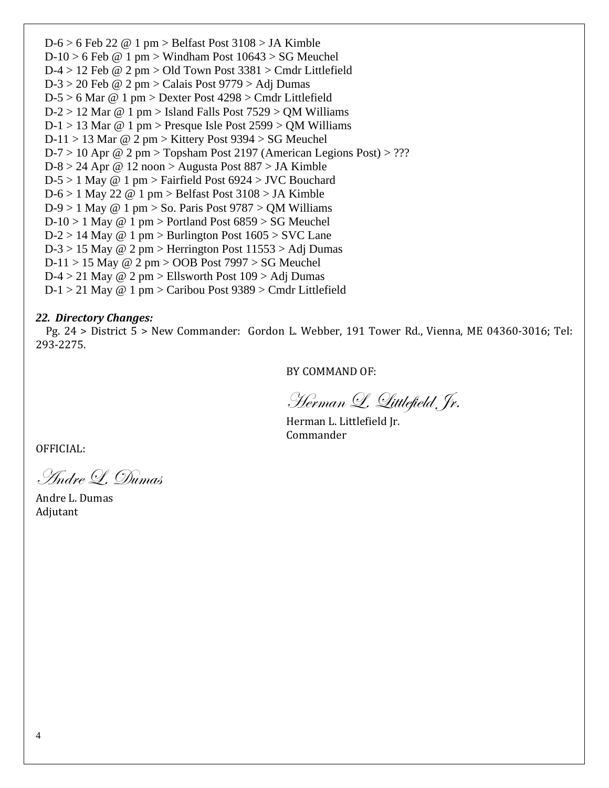$D-6 > 6$  Feb 22 @ 1 pm > Belfast Post 3108 > JA Kimble  $D-10 > 6$  Feb @ 1 pm > Windham Post  $10643 > SG$  Meuchel D-4 > 12 Feb @ 2 pm > Old Town Post 3381 > Cmdr Littlefield  $D-3 > 20$  Feb @ 2 pm > Calais Post 9779 > Adj Dumas D-5 > 6 Mar @ 1 pm > Dexter Post 4298 > Cmdr Littlefield  $D-2 > 12$  Mar @ 1 pm > Island Falls Post 7529 > QM Williams  $D-1 > 13$  Mar @ 1 pm > Presque Isle Post 2599 > QM Williams  $D-11 > 13$  Mar @ 2 pm > Kittery Post 9394 > SG Meuchel  $D-7 > 10$  Apr @ 2 pm > Topsham Post 2197 (American Legions Post) > ??? D-8 > 24 Apr  $\omega$  12 noon > Augusta Post 887 > JA Kimble  $D-5 > 1$  May @ 1 pm > Fairfield Post 6924 > JVC Bouchard  $D-6 > 1$  May 22 @ 1 pm > Belfast Post 3108 > JA Kimble  $D-9 > 1$  May @ 1 pm  $>$  So. Paris Post 9787  $>$  QM Williams  $D-10 > 1$  May @ 1 pm > Portland Post  $6859 > SG$  Meuchel  $D-2 > 14$  May @ 1 pm > Burlington Post  $1605 >$  SVC Lane  $D-3 > 15$  May @ 2 pm > Herrington Post  $11553 > Adi$  Dumas  $D-11 > 15$  May @ 2 pm > OOB Post 7997 > SG Meuchel  $D-4 > 21$  May @ 2 pm > Ellsworth Post 109 > Adj Dumas D-1 > 21 May @ 1 pm > Caribou Post 9389 > Cmdr Littlefield

#### *22. Directory Changes:*

 Pg. 24 > District 5 > New Commander: Gordon L. Webber, 191 Tower Rd., Vienna, ME 04360-3016; Tel: 293-2275.

BY COMMAND OF:

Herman L. Littlefield, Jr.

Herman L. Littlefield Jr. Commander

OFFICIAL:

Andre L. Dumas

Andre L. Dumas Adjutant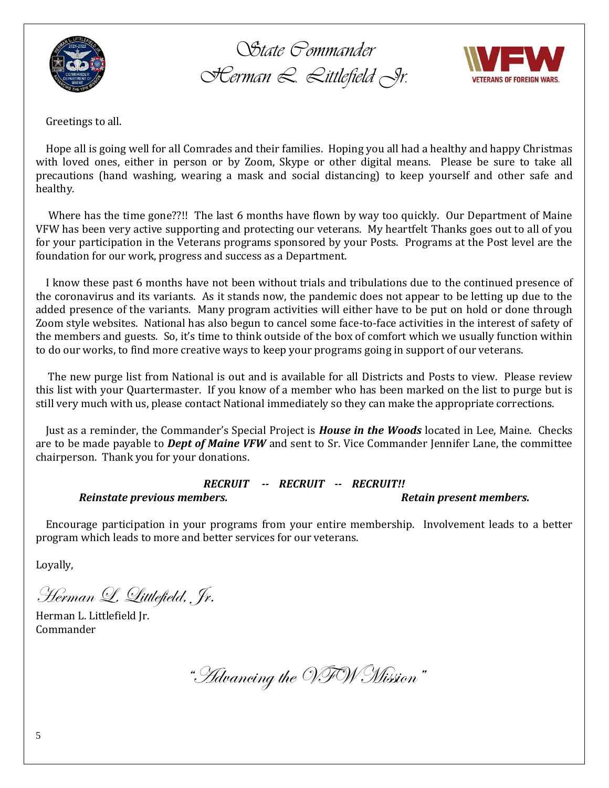

*State Commander Herman L. Littlefield Jr.*



Greetings to all.

 Hope all is going well for all Comrades and their families. Hoping you all had a healthy and happy Christmas with loved ones, either in person or by Zoom, Skype or other digital means. Please be sure to take all precautions (hand washing, wearing a mask and social distancing) to keep yourself and other safe and healthy.

 Where has the time gone??!! The last 6 months have flown by way too quickly. Our Department of Maine VFW has been very active supporting and protecting our veterans. My heartfelt Thanks goes out to all of you for your participation in the Veterans programs sponsored by your Posts. Programs at the Post level are the foundation for our work, progress and success as a Department.

 I know these past 6 months have not been without trials and tribulations due to the continued presence of the coronavirus and its variants. As it stands now, the pandemic does not appear to be letting up due to the added presence of the variants. Many program activities will either have to be put on hold or done through Zoom style websites. National has also begun to cancel some face-to-face activities in the interest of safety of the members and guests. So, it's time to think outside of the box of comfort which we usually function within to do our works, to find more creative ways to keep your programs going in support of our veterans.

 The new purge list from National is out and is available for all Districts and Posts to view. Please review this list with your Quartermaster. If you know of a member who has been marked on the list to purge but is still very much with us, please contact National immediately so they can make the appropriate corrections.

 Just as a reminder, the Commander's Special Project is *House in the Woods* located in Lee, Maine. Checks are to be made payable to *Dept of Maine VFW* and sent to Sr. Vice Commander Jennifer Lane, the committee chairperson. Thank you for your donations.

# *RECRUIT -- RECRUIT -- RECRUIT!!*

#### *Reinstate previous members. Retain present members.*

 Encourage participation in your programs from your entire membership. Involvement leads to a better program which leads to more and better services for our veterans.

Loyally,

Herman L. Littlefield, Jr.

Herman L. Littlefield Jr. Commander

"Advancing the VFW Mission"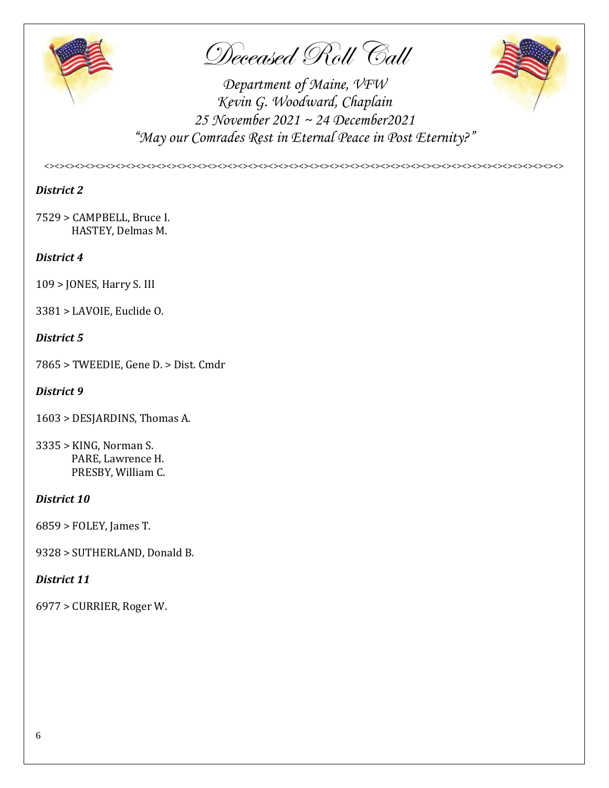

Deceased Roll Call



*Department of Maine, VFW Kevin G. Woodward, Chaplain 25 November 2021 ~ 24 December2021 "May our Comrades Rest in Eternal Peace in Post Eternity?"*

*<><><><><><><><><><><><><><><><><><><><><><><><><><><><><><><><><><><><><><><><><><><><><><><><><><><>*

## *District 2*

7529 > CAMPBELL, Bruce I. HASTEY, Delmas M.

#### *District 4*

109 > JONES, Harry S. III

3381 > LAVOIE, Euclide O.

#### *District 5*

7865 > TWEEDIE, Gene D. > Dist. Cmdr

#### *District 9*

- 1603 > DESJARDINS, Thomas A.
- 3335 > KING, Norman S. PARE, Lawrence H. PRESBY, William C.

#### *District 10*

6859 > FOLEY, James T.

9328 > SUTHERLAND, Donald B.

#### *District 11*

6977 > CURRIER, Roger W.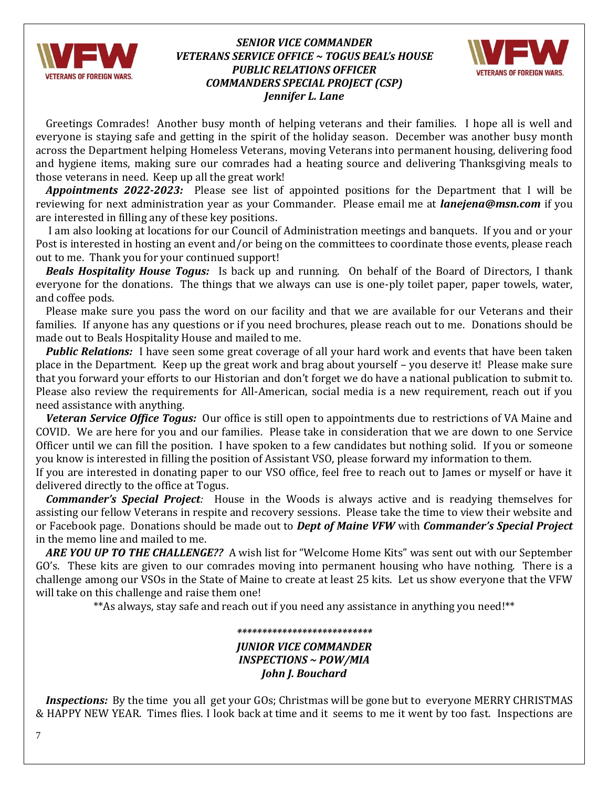

#### *SENIOR VICE COMMANDER VETERANS SERVICE OFFICE ~ TOGUS BEAL's HOUSE PUBLIC RELATIONS OFFICER COMMANDERS SPECIAL PROJECT (CSP) Jennifer L. Lane*



 Greetings Comrades! Another busy month of helping veterans and their families. I hope all is well and everyone is staying safe and getting in the spirit of the holiday season. December was another busy month across the Department helping Homeless Veterans, moving Veterans into permanent housing, delivering food and hygiene items, making sure our comrades had a heating source and delivering Thanksgiving meals to those veterans in need. Keep up all the great work!

*Appointments 2022-2023:* Please see list of appointed positions for the Department that I will be reviewing for next administration year as your Commander. Please email me at *[lanejena@msn.com](mailto:lanejena@msn.com)* if you are interested in filling any of these key positions.

 I am also looking at locations for our Council of Administration meetings and banquets. If you and or your Post is interested in hosting an event and/or being on the committees to coordinate those events, please reach out to me. Thank you for your continued support!

*Beals Hospitality House Togus:*Is back up and running. On behalf of the Board of Directors, I thank everyone for the donations. The things that we always can use is one-ply toilet paper, paper towels, water, and coffee pods.

 Please make sure you pass the word on our facility and that we are available for our Veterans and their families. If anyone has any questions or if you need brochures, please reach out to me. Donations should be made out to Beals Hospitality House and mailed to me.

*Public Relations:* I have seen some great coverage of all your hard work and events that have been taken place in the Department. Keep up the great work and brag about yourself – you deserve it! Please make sure that you forward your efforts to our Historian and don't forget we do have a national publication to submit to. Please also review the requirements for All-American, social media is a new requirement, reach out if you need assistance with anything.

*Veteran Service Office Togus:*Our office is still open to appointments due to restrictions of VA Maine and COVID. We are here for you and our families. Please take in consideration that we are down to one Service Officer until we can fill the position. I have spoken to a few candidates but nothing solid. If you or someone you know is interested in filling the position of Assistant VSO, please forward my information to them.

If you are interested in donating paper to our VSO office, feel free to reach out to James or myself or have it delivered directly to the office at Togus.

*Commander's Special Project:* House in the Woods is always active and is readying themselves for assisting our fellow Veterans in respite and recovery sessions. Please take the time to view their website and or Facebook page. Donations should be made out to *Dept of Maine VFW* with *Commander's Special Project* in the memo line and mailed to me.

*ARE YOU UP TO THE CHALLENGE??* A wish list for "Welcome Home Kits" was sent out with our September GO's. These kits are given to our comrades moving into permanent housing who have nothing. There is a challenge among our VSOs in the State of Maine to create at least 25 kits. Let us show everyone that the VFW will take on this challenge and raise them one!

\*\*As always, stay safe and reach out if you need any assistance in anything you need!\*\*

# *\*\*\*\*\*\*\*\*\*\*\*\*\*\*\*\*\*\*\*\*\*\*\*\*\*\*\* JUNIOR VICE COMMANDER INSPECTIONS ~ POW/MIA John J. Bouchard*

*Inspections:* By the time you all get your GOs; Christmas will be gone but to everyone MERRY CHRISTMAS & HAPPY NEW YEAR. Times flies. I look back at time and it seems to me it went by too fast. Inspections are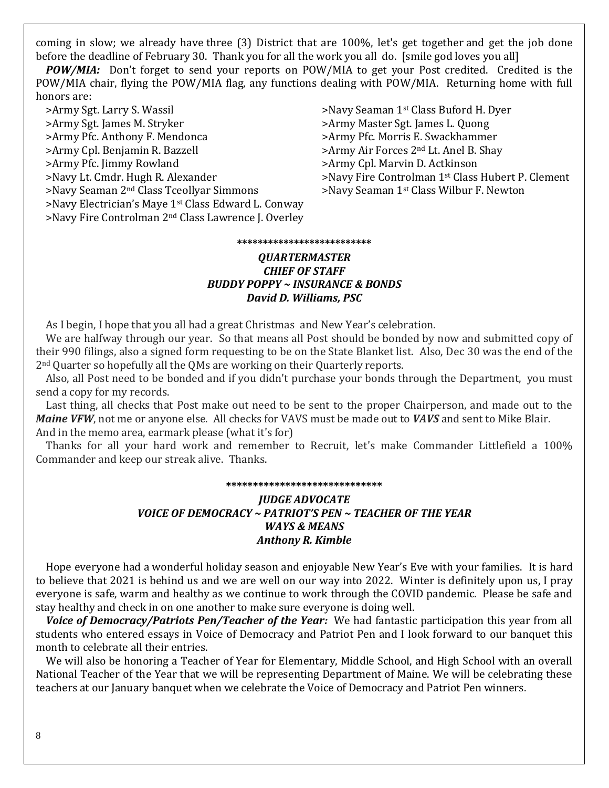coming in slow; we already have three (3) District that are 100%, let's get together and get the job done before the deadline of February 30. Thank you for all the work you all do. [smile god loves you all]

 *POW/MIA:* Don't forget to send your reports on POW/MIA to get your Post credited. Credited is the POW/MIA chair, flying the POW/MIA flag, any functions dealing with POW/MIA. Returning home with full honors are:

>Army Sgt. Larry S. Wassil >Navy Seaman 1<sup>st</sup> Class Buford H. Dyer >Army Sgt. James M. Stryker >Army Master Sgt. James L. Quong >Army Pfc. Anthony F. Mendonca >Army Pfc. Morris E. Swackhammer >Army Cpl. Benjamin R. Bazzell >Army Air Forces 2<sup>nd</sup> Lt. Anel B. Shay >Army Pfc. Jimmy Rowland >Army Cpl. Marvin D. Actkinson >Navy Lt. Cmdr. Hugh R. Alexander >Navy Fire Controlman 1st Class Hubert P. Clement >Navy Seaman 2<sup>nd</sup> Class Tceollyar Simmons >Navy Seaman 1<sup>st</sup> Class Wilbur F. Newton >Navy Electrician's Maye 1st Class Edward L. Conway >Navy Fire Controlman 2nd Class Lawrence J. Overley

#### **\*\*\*\*\*\*\*\*\*\*\*\*\*\*\*\*\*\*\*\*\*\*\*\*\*\***

#### *QUARTERMASTER CHIEF OF STAFF BUDDY POPPY ~ INSURANCE & BONDS David D. Williams, PSC*

As I begin, I hope that you all had a great Christmas and New Year's celebration.

 We are halfway through our year. So that means all Post should be bonded by now and submitted copy of their 990 filings, also a signed form requesting to be on the State Blanket list. Also, Dec 30 was the end of the 2nd Quarter so hopefully all the QMs are working on their Quarterly reports.

 Also, all Post need to be bonded and if you didn't purchase your bonds through the Department, you must send a copy for my records.

 Last thing, all checks that Post make out need to be sent to the proper Chairperson, and made out to the *Maine VFW*, not me or anyone else. All checks for VAVS must be made out to *VAVS* and sent to Mike Blair. And in the memo area, earmark please (what it's for)

 Thanks for all your hard work and remember to Recruit, let's make Commander Littlefield a 100% Commander and keep our streak alive. Thanks.

#### **\*\*\*\*\*\*\*\*\*\*\*\*\*\*\*\*\*\*\*\*\*\*\*\*\*\*\*\*\***

#### *JUDGE ADVOCATE VOICE OF DEMOCRACY ~ PATRIOT'S PEN ~ TEACHER OF THE YEAR WAYS & MEANS Anthony R. Kimble*

 Hope everyone had a wonderful holiday season and enjoyable New Year's Eve with your families. It is hard to believe that 2021 is behind us and we are well on our way into 2022. Winter is definitely upon us, I pray everyone is safe, warm and healthy as we continue to work through the COVID pandemic. Please be safe and stay healthy and check in on one another to make sure everyone is doing well.

*Voice of Democracy/Patriots Pen/Teacher of the Year:* We had fantastic participation this year from all students who entered essays in Voice of Democracy and Patriot Pen and I look forward to our banquet this month to celebrate all their entries.

 We will also be honoring a Teacher of Year for Elementary, Middle School, and High School with an overall National Teacher of the Year that we will be representing Department of Maine. We will be celebrating these teachers at our January banquet when we celebrate the Voice of Democracy and Patriot Pen winners.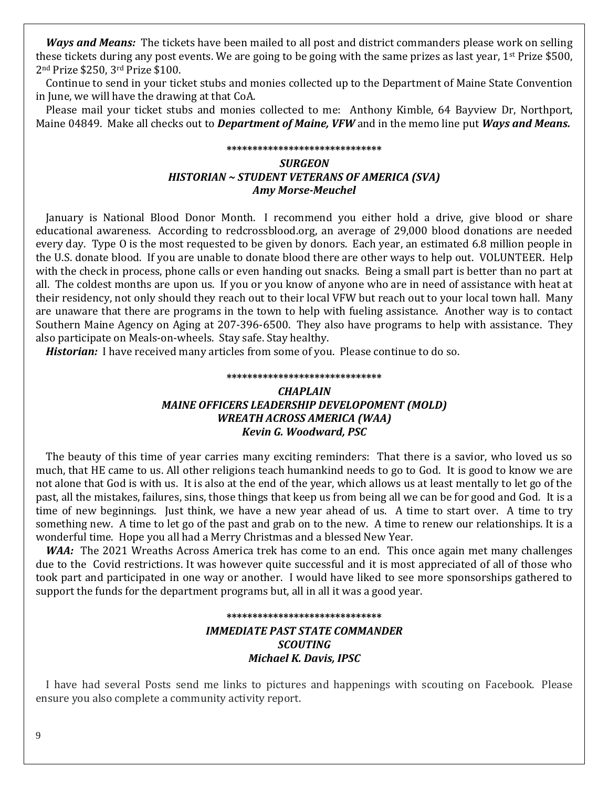*Ways and Means:* The tickets have been mailed to all post and district commanders please work on selling these tickets during any post events. We are going to be going with the same prizes as last year,  $1^{st}$  Prize \$500, 2nd Prize \$250, 3rd Prize \$100.

 Continue to send in your ticket stubs and monies collected up to the Department of Maine State Convention in June, we will have the drawing at that CoA.

 Please mail your ticket stubs and monies collected to me: Anthony Kimble, 64 Bayview Dr, Northport, Maine 04849. Make all checks out to *Department of Maine, VFW* and in the memo line put *Ways and Means.*

### **\*\*\*\*\*\*\*\*\*\*\*\*\*\*\*\*\*\*\*\*\*\*\*\*\*\*\*\*\*\*** *SURGEON HISTORIAN ~ STUDENT VETERANS OF AMERICA (SVA) Amy Morse-Meuchel*

 January is National Blood Donor Month. I recommend you either hold a drive, give blood or share educational awareness. According to redcrossblood.org, an average of 29,000 blood donations are needed every day. Type O is the most requested to be given by donors. Each year, an estimated 6.8 million people in the U.S. donate blood. If you are unable to donate blood there are other ways to help out. VOLUNTEER. Help with the check in process, phone calls or even handing out snacks. Being a small part is better than no part at all. The coldest months are upon us. If you or you know of anyone who are in need of assistance with heat at their residency, not only should they reach out to their local VFW but reach out to your local town hall. Many are unaware that there are programs in the town to help with fueling assistance. Another way is to contact Southern Maine Agency on Aging at 207-396-6500. They also have programs to help with assistance. They also participate on Meals-on-wheels. Stay safe. Stay healthy.

*Historian:* I have received many articles from some of you. Please continue to do so.

#### **\*\*\*\*\*\*\*\*\*\*\*\*\*\*\*\*\*\*\*\*\*\*\*\*\*\*\*\*\*\***

#### *CHAPLAIN MAINE OFFICERS LEADERSHIP DEVELOPOMENT (MOLD) WREATH ACROSS AMERICA (WAA) Kevin G. Woodward, PSC*

 The beauty of this time of year carries many exciting reminders: That there is a savior, who loved us so much, that HE came to us. All other religions teach humankind needs to go to God. It is good to know we are not alone that God is with us. It is also at the end of the year, which allows us at least mentally to let go of the past, all the mistakes, failures, sins, those things that keep us from being all we can be for good and God. It is a time of new beginnings. Just think, we have a new year ahead of us. A time to start over. A time to try something new. A time to let go of the past and grab on to the new. A time to renew our relationships. It is a wonderful time. Hope you all had a Merry Christmas and a blessed New Year.

*WAA:* The 2021 Wreaths Across America trek has come to an end. This once again met many challenges due to the Covid restrictions. It was however quite successful and it is most appreciated of all of those who took part and participated in one way or another. I would have liked to see more sponsorships gathered to support the funds for the department programs but, all in all it was a good year.

#### **\*\*\*\*\*\*\*\*\*\*\*\*\*\*\*\*\*\*\*\*\*\*\*\*\*\*\*\*\*\*** *IMMEDIATE PAST STATE COMMANDER SCOUTING Michael K. Davis, IPSC*

 I have had several Posts send me links to pictures and happenings with scouting on Facebook. Please ensure you also complete a community activity report.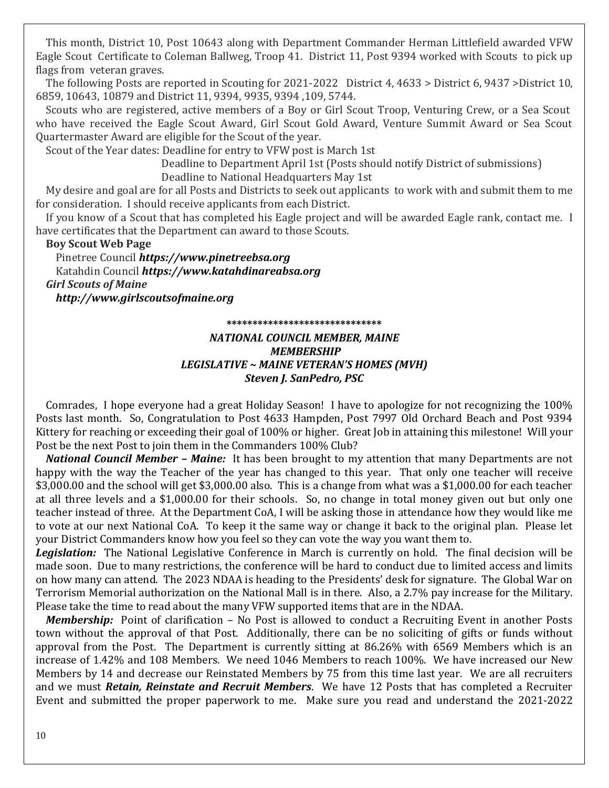This month, District 10, Post 10643 along with Department Commander Herman Littlefield awarded VFW Eagle Scout Certificate to Coleman Ballweg, Troop 41. District 11, Post 9394 worked with Scouts to pick up flags from veteran graves.

 The following Posts are reported in Scouting for 2021-2022 District 4, 4633 > District 6, 9437 >District 10, 6859, 10643, 10879 and District 11, 9394, 9935, 9394 ,109, 5744.

 Scouts who are registered, active members of a Boy or Girl Scout Troop, Venturing Crew, or a Sea Scout who have received the Eagle Scout Award, Girl Scout Gold Award, Venture Summit Award or Sea Scout Quartermaster Award are eligible for the Scout of the year.

Scout of the Year dates: Deadline for entry to VFW post is March 1st

Deadline to Department April 1st (Posts should notify District of submissions)

Deadline to National Headquarters May 1st

 My desire and goal are for all Posts and Districts to seek out applicants to work with and submit them to me for consideration. I should receive applicants from each District.

 If you know of a Scout that has completed his Eagle project and will be awarded Eagle rank, contact me. I have certificates that the Department can award to those Scouts.

 **Boy Scout Web Page**

Pinetree Council *[https://www.pinetreebsa.org](https://www.pinetreebsa.org/)* Katahdin Council *[https://www.katahdinareabsa.org](https://www.katahdinareabsa.org/) Girl Scouts of Maine [http://www.girlscoutsofmaine.org](http://www.girlscoutsofmaine.org/)*

**\*\*\*\*\*\*\*\*\*\*\*\*\*\*\*\*\*\*\*\*\*\*\*\*\*\*\*\*\*\***

#### *NATIONAL COUNCIL MEMBER, MAINE MEMBERSHIP LEGISLATIVE ~ MAINE VETERAN'S HOMES (MVH) Steven J. SanPedro, PSC*

 Comrades, I hope everyone had a great Holiday Season! I have to apologize for not recognizing the 100% Posts last month. So, Congratulation to Post 4633 Hampden, Post 7997 Old Orchard Beach and Post 9394 Kittery for reaching or exceeding their goal of 100% or higher. Great Job in attaining this milestone! Will your Post be the next Post to join them in the Commanders 100% Club?

*National Council Member – Maine:*It has been brought to my attention that many Departments are not happy with the way the Teacher of the year has changed to this year. That only one teacher will receive \$3,000.00 and the school will get \$3,000.00 also. This is a change from what was a \$1,000.00 for each teacher at all three levels and a \$1,000.00 for their schools. So, no change in total money given out but only one teacher instead of three. At the Department CoA, I will be asking those in attendance how they would like me to vote at our next National CoA. To keep it the same way or change it back to the original plan. Please let your District Commanders know how you feel so they can vote the way you want them to.

Legislation: The National Legislative Conference in March is currently on hold. The final decision will be made soon. Due to many restrictions, the conference will be hard to conduct due to limited access and limits on how many can attend. The 2023 NDAA is heading to the Presidents' desk for signature. The Global War on Terrorism Memorial authorization on the National Mall is in there. Also, a 2.7% pay increase for the Military. Please take the time to read about the many VFW supported items that are in the NDAA.

 *Membership:* Point of clarification – No Post is allowed to conduct a Recruiting Event in another Posts town without the approval of that Post. Additionally, there can be no soliciting of gifts or funds without approval from the Post. The Department is currently sitting at 86.26% with 6569 Members which is an increase of 1.42% and 108 Members. We need 1046 Members to reach 100%. We have increased our New Members by 14 and decrease our Reinstated Members by 75 from this time last year. We are all recruiters and we must *Retain, Reinstate and Recruit Members*. We have 12 Posts that has completed a Recruiter Event and submitted the proper paperwork to me. Make sure you read and understand the 2021-2022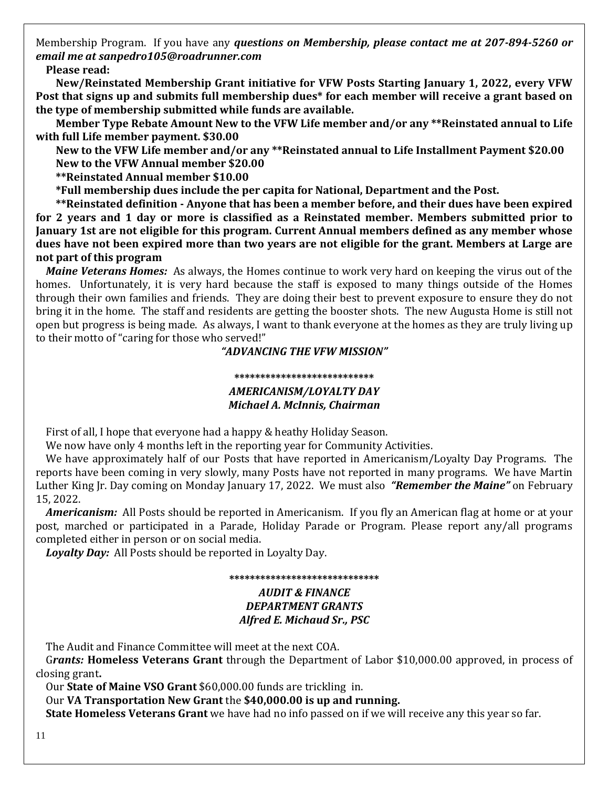Membership Program. If you have any *questions on Membership, please contact me at 207-894-5260 or email me at sanpedro105@roadrunner.com*

 **Please read:**

 **New/Reinstated Membership Grant initiative for VFW Posts Starting January 1, 2022, every VFW Post that signs up and submits full membership dues\* for each member will receive a grant based on the type of membership submitted while funds are available.** 

 **Member Type Rebate Amount New to the VFW Life member and/or any \*\*Reinstated annual to Life with full Life member payment. \$30.00** 

 **New to the VFW Life member and/or any \*\*Reinstated annual to Life Installment Payment \$20.00 New to the VFW Annual member \$20.00** 

 **\*\*Reinstated Annual member \$10.00** 

 **\*Full membership dues include the per capita for National, Department and the Post.** 

 **\*\*Reinstated definition - Anyone that has been a member before, and their dues have been expired for 2 years and 1 day or more is classified as a Reinstated member. Members submitted prior to January 1st are not eligible for this program. Current Annual members defined as any member whose dues have not been expired more than two years are not eligible for the grant. Members at Large are not part of this program**

*Maine Veterans Homes:*As always, the Homes continue to work very hard on keeping the virus out of the homes. Unfortunately, it is very hard because the staff is exposed to many things outside of the Homes through their own families and friends. They are doing their best to prevent exposure to ensure they do not bring it in the home. The staff and residents are getting the booster shots. The new Augusta Home is still not open but progress is being made. As always, I want to thank everyone at the homes as they are truly living up to their motto of "caring for those who served!"

#### *"ADVANCING THE VFW MISSION"*

#### **\*\*\*\*\*\*\*\*\*\*\*\*\*\*\*\*\*\*\*\*\*\*\*\*\*\*\*** *AMERICANISM/LOYALTY DAY Michael A. McInnis, Chairman*

First of all, I hope that everyone had a happy & heathy Holiday Season.

We now have only 4 months left in the reporting year for Community Activities.

 We have approximately half of our Posts that have reported in Americanism/Loyalty Day Programs. The reports have been coming in very slowly, many Posts have not reported in many programs. We have Martin Luther King Jr. Day coming on Monday January 17, 2022. We must also *"Remember the Maine"* on February 15, 2022.

 *Americanism:* All Posts should be reported in Americanism. If you fly an American flag at home or at your post, marched or participated in a Parade, Holiday Parade or Program. Please report any/all programs completed either in person or on social media.

*Loyalty Day:* All Posts should be reported in Loyalty Day.

#### **\*\*\*\*\*\*\*\*\*\*\*\*\*\*\*\*\*\*\*\*\*\*\*\*\*\*\*\*\*** *AUDIT & FINANCE DEPARTMENT GRANTS Alfred E. Michaud Sr., PSC*

The Audit and Finance Committee will meet at the next COA.

 G*rants:* **Homeless Veterans Grant** through the Department of Labor \$10,000.00 approved, in process of closing grant**.** 

Our **State of Maine VSO Grant** \$60,000.00 funds are trickling in.

Our **VA Transportation New Grant** the **\$40,000.00 is up and running.** 

 **State Homeless Veterans Grant** we have had no info passed on if we will receive any this year so far.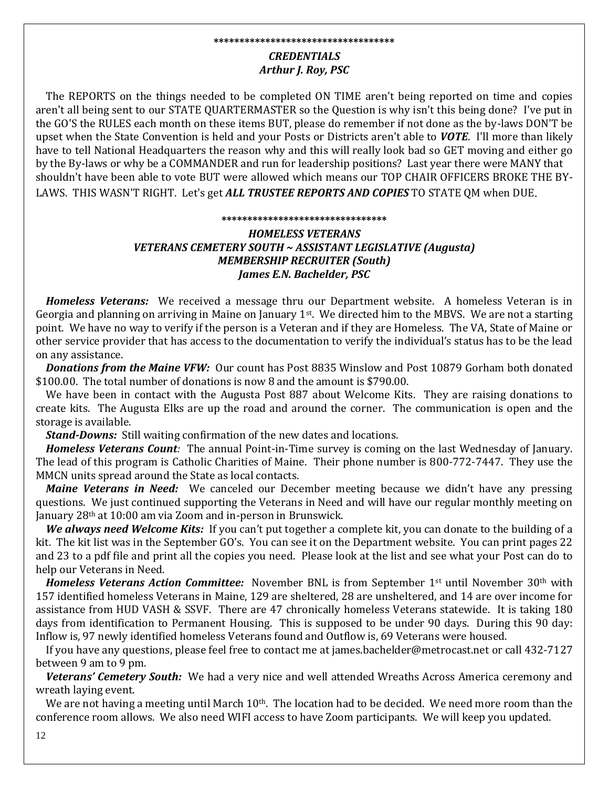#### **\*\*\*\*\*\*\*\*\*\*\*\*\*\*\*\*\*\*\*\*\*\*\*\*\*\*\*\*\*\*\*\*\*\*\***

#### *CREDENTIALS Arthur J. Roy, PSC*

 The REPORTS on the things needed to be completed ON TIME aren't being reported on time and copies aren't all being sent to our STATE QUARTERMASTER so the Question is why isn't this being done? I've put in the GO'S the RULES each month on these items BUT, please do remember if not done as the by-laws DON'T be upset when the State Convention is held and your Posts or Districts aren't able to *VOTE*. I'll more than likely have to tell National Headquarters the reason why and this will really look bad so GET moving and either go by the By-laws or why be a COMMANDER and run for leadership positions? Last year there were MANY that shouldn't have been able to vote BUT were allowed which means our TOP CHAIR OFFICERS BROKE THE BY-LAWS. THIS WASN'T RIGHT. Let's get *ALL TRUSTEE REPORTS AND COPIES* TO STATE QM when DUE.

#### **\*\*\*\*\*\*\*\*\*\*\*\*\*\*\*\*\*\*\*\*\*\*\*\*\*\*\*\*\*\*\*\***

#### *HOMELESS VETERANS VETERANS CEMETERY SOUTH ~ ASSISTANT LEGISLATIVE (Augusta) MEMBERSHIP RECRUITER (South) James E.N. Bachelder, PSC*

 *Homeless Veterans:* We received a message thru our Department website. A homeless Veteran is in Georgia and planning on arriving in Maine on January 1<sup>st</sup>. We directed him to the MBVS. We are not a starting point. We have no way to verify if the person is a Veteran and if they are Homeless. The VA, State of Maine or other service provider that has access to the documentation to verify the individual's status has to be the lead on any assistance.

*Donations from the Maine VFW:* Our count has Post 8835 Winslow and Post 10879 Gorham both donated \$100.00. The total number of donations is now 8 and the amount is \$790.00.

 We have been in contact with the Augusta Post 887 about Welcome Kits. They are raising donations to create kits. The Augusta Elks are up the road and around the corner. The communication is open and the storage is available.

*Stand-Downs:* Still waiting confirmation of the new dates and locations.

*Homeless Veterans Count:* The annual Point-in-Time survey is coming on the last Wednesday of January. The lead of this program is Catholic Charities of Maine. Their phone number is 800-772-7447. They use the MMCN units spread around the State as local contacts.

*Maine Veterans in Need:* We canceled our December meeting because we didn't have any pressing questions. We just continued supporting the Veterans in Need and will have our regular monthly meeting on January 28th at 10:00 am via Zoom and in-person in Brunswick.

*We always need Welcome Kits:* If you can't put together a complete kit, you can donate to the building of a kit. The kit list was in the September GO's. You can see it on the Department website. You can print pages 22 and 23 to a pdf file and print all the copies you need. Please look at the list and see what your Post can do to help our Veterans in Need.

*Homeless Veterans Action Committee:* November BNL is from September 1st until November 30th with 157 identified homeless Veterans in Maine, 129 are sheltered, 28 are unsheltered, and 14 are over income for assistance from HUD VASH & SSVF. There are 47 chronically homeless Veterans statewide. It is taking 180 days from identification to Permanent Housing. This is supposed to be under 90 days. During this 90 day: Inflow is, 97 newly identified homeless Veterans found and Outflow is, 69 Veterans were housed.

 If you have any questions, please feel free to contact me at james.bachelder@metrocast.net or call 432-7127 between 9 am to 9 pm.

Veterans' Cemetery South: We had a very nice and well attended Wreaths Across America ceremony and wreath laying event.

We are not having a meeting until March  $10<sup>th</sup>$ . The location had to be decided. We need more room than the conference room allows. We also need WIFI access to have Zoom participants. We will keep you updated.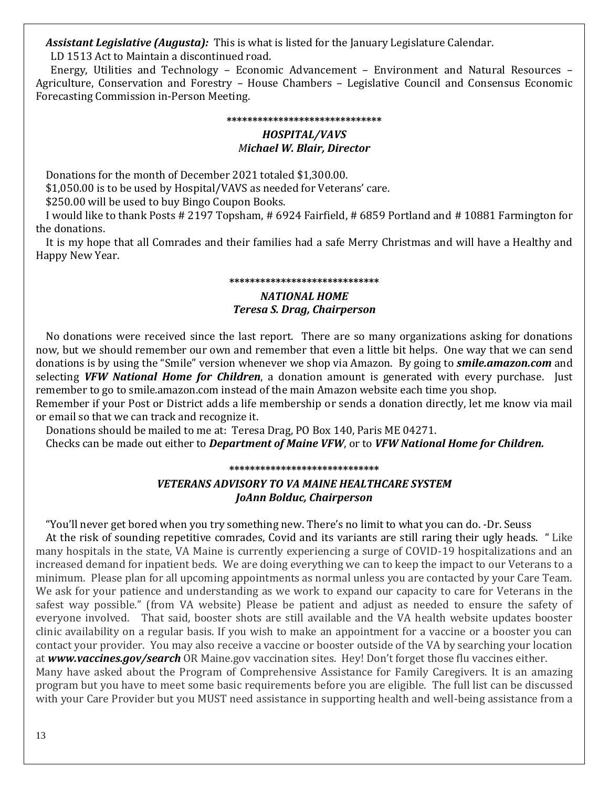*Assistant Legislative (Augusta):* This is what is listed for the January Legislature Calendar.

LD 1513 Act to Maintain a discontinued road.

 Energy, Utilities and Technology – Economic Advancement – Environment and Natural Resources – Agriculture, Conservation and Forestry – House Chambers – Legislative Council and Consensus Economic Forecasting Commission in-Person Meeting.

#### **\*\*\*\*\*\*\*\*\*\*\*\*\*\*\*\*\*\*\*\*\*\*\*\*\*\*\*\*\*\***

#### *HOSPITAL/VAVS Michael W. Blair, Director*

Donations for the month of December 2021 totaled \$1,300.00.

\$1,050.00 is to be used by Hospital/VAVS as needed for Veterans' care.

\$250.00 will be used to buy Bingo Coupon Books.

 I would like to thank Posts # 2197 Topsham, # 6924 Fairfield, # 6859 Portland and # 10881 Farmington for the donations.

 It is my hope that all Comrades and their families had a safe Merry Christmas and will have a Healthy and Happy New Year.

#### **\*\*\*\*\*\*\*\*\*\*\*\*\*\*\*\*\*\*\*\*\*\*\*\*\*\*\*\*\***

# *NATIONAL HOME Teresa S. Drag, Chairperson*

 No donations were received since the last report. There are so many organizations asking for donations now, but we should remember our own and remember that even a little bit helps. One way that we can send donations is by using the "Smile" version whenever we shop via Amazon. By going to *smile.amazon.com* and selecting *VFW National Home for Children*, a donation amount is generated with every purchase. Just remember to go to smile.amazon.com instead of the main Amazon website each time you shop.

Remember if your Post or District adds a life membership or sends a donation directly, let me know via mail or email so that we can track and recognize it.

Donations should be mailed to me at: Teresa Drag, PO Box 140, Paris ME 04271.

Checks can be made out either to *Department of Maine VFW*, or to *VFW National Home for Children.*

**\*\*\*\*\*\*\*\*\*\*\*\*\*\*\*\*\*\*\*\*\*\*\*\*\*\*\*\*\***

# *VETERANS ADVISORY TO VA MAINE HEALTHCARE SYSTEM JoAnn Bolduc, Chairperson*

"You'll never get bored when you try something new. There's no limit to what you can do. -Dr. Seuss

 At the risk of sounding repetitive comrades, Covid and its variants are still raring their ugly heads. " Like many hospitals in the state, VA Maine is currently experiencing a surge of COVID-19 hospitalizations and an increased demand for inpatient beds. We are doing everything we can to keep the impact to our Veterans to a minimum. Please plan for all upcoming appointments as normal unless you are contacted by your Care Team. We ask for your patience and understanding as we work to expand our capacity to care for Veterans in the safest way possible." (from VA website) Please be patient and adjust as needed to ensure the safety of everyone involved. That said, booster shots are still available and the VA health website updates booster clinic availability on a regular basis. If you wish to make an appointment for a vaccine or a booster you can contact your provider. You may also receive a vaccine or booster outside of the VA by searching your location at *[www.vaccines.gov/search](http://www.vaccines.gov/search)* OR Maine.gov vaccination sites. Hey! Don't forget those flu vaccines either.

Many have asked about the Program of Comprehensive Assistance for Family Caregivers. It is an amazing program but you have to meet some basic requirements before you are eligible. The full list can be discussed with your Care Provider but you MUST need assistance in supporting health and well-being assistance from a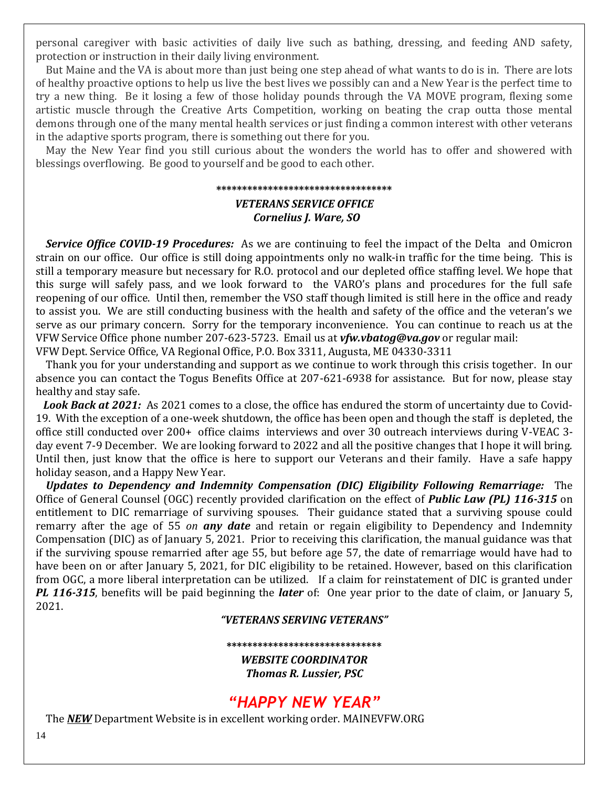personal caregiver with basic activities of daily live such as bathing, dressing, and feeding AND safety, protection or instruction in their daily living environment.

 But Maine and the VA is about more than just being one step ahead of what wants to do is in. There are lots of healthy proactive options to help us live the best lives we possibly can and a New Year is the perfect time to try a new thing. Be it losing a few of those holiday pounds through the VA MOVE program, flexing some artistic muscle through the Creative Arts Competition, working on beating the crap outta those mental demons through one of the many mental health services or just finding a common interest with other veterans in the adaptive sports program, there is something out there for you.

 May the New Year find you still curious about the wonders the world has to offer and showered with blessings overflowing. Be good to yourself and be good to each other.

# **\*\*\*\*\*\*\*\*\*\*\*\*\*\*\*\*\*\*\*\*\*\*\*\*\*\*\*\*\*\*\*\*\*\***

#### *VETERANS SERVICE OFFICE Cornelius J. Ware, SO*

 *Service Office COVID-19 Procedures:* As we are continuing to feel the impact of the Delta and Omicron strain on our office. Our office is still doing appointments only no walk-in traffic for the time being. This is still a temporary measure but necessary for R.O. protocol and our depleted office staffing level. We hope that this surge will safely pass, and we look forward to the VARO's plans and procedures for the full safe reopening of our office. Until then, remember the VSO staff though limited is still here in the office and ready to assist you. We are still conducting business with the health and safety of the office and the veteran's we serve as our primary concern. Sorry for the temporary inconvenience. You can continue to reach us at the VFW Service Office phone number 207-623-5723. Email us at *[vfw.vbatog@va.gov](mailto:vfw.vbatog@va.gov)* or regular mail: VFW Dept. Service Office, VA Regional Office, P.O. Box 3311, Augusta, ME 04330-3311

 Thank you for your understanding and support as we continue to work through this crisis together. In our absence you can contact the Togus Benefits Office at 207-621-6938 for assistance. But for now, please stay healthy and stay safe.

 *Look Back at 2021:* As 2021 comes to a close, the office has endured the storm of uncertainty due to Covid-19. With the exception of a one-week shutdown, the office has been open and though the staff is depleted, the office still conducted over 200+ office claims interviews and over 30 outreach interviews during V-VEAC 3 day event 7-9 December. We are looking forward to 2022 and all the positive changes that I hope it will bring. Until then, just know that the office is here to support our Veterans and their family. Have a safe happy holiday season, and a Happy New Year.

 *Updates to Dependency and Indemnity Compensation (DIC) Eligibility Following Remarriage:* The Office of General Counsel (OGC) recently provided clarification on the effect of *Public Law (PL) 116-315* on entitlement to DIC remarriage of surviving spouses. Their guidance stated that a surviving spouse could remarry after the age of 55 *on any date* and retain or regain eligibility to Dependency and Indemnity Compensation (DIC) as of January 5, 2021. Prior to receiving this clarification, the manual guidance was that if the surviving spouse remarried after age 55, but before age 57, the date of remarriage would have had to have been on or after January 5, 2021, for DIC eligibility to be retained. However, based on this clarification from OGC, a more liberal interpretation can be utilized. If a claim for reinstatement of DIC is granted under *PL 116-315*, benefits will be paid beginning the *later* of: One year prior to the date of claim, or January 5, 2021.

#### *"VETERANS SERVING VETERANS"*

#### **\*\*\*\*\*\*\*\*\*\*\*\*\*\*\*\*\*\*\*\*\*\*\*\*\*\*\*\*\*\***

*WEBSITE COORDINATOR Thomas R. Lussier, PSC*

# *"HAPPY NEW YEAR"*

The *NEW* Department Website is in excellent working order. MAINEVFW.ORG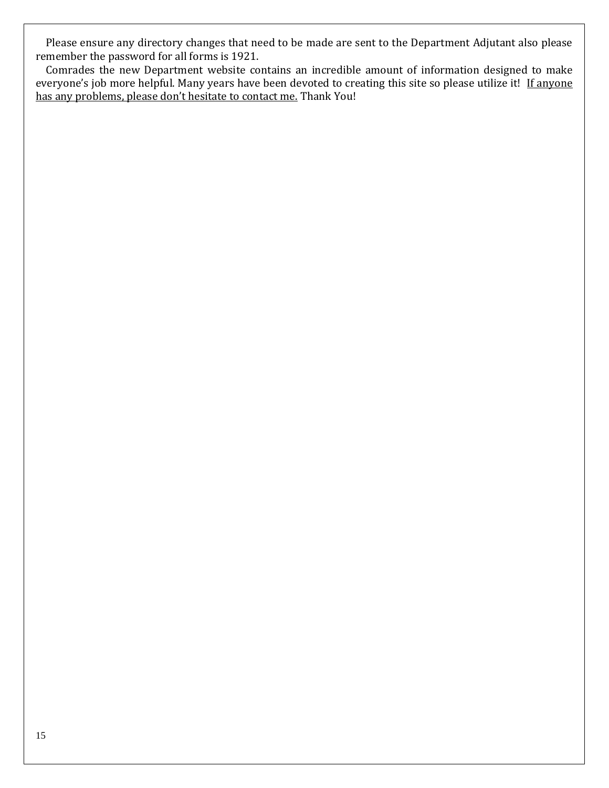Please ensure any directory changes that need to be made are sent to the Department Adjutant also please remember the password for all forms is 1921.

 Comrades the new Department website contains an incredible amount of information designed to make everyone's job more helpful. Many years have been devoted to creating this site so please utilize it! If anyone has any problems, please don't hesitate to contact me. Thank You!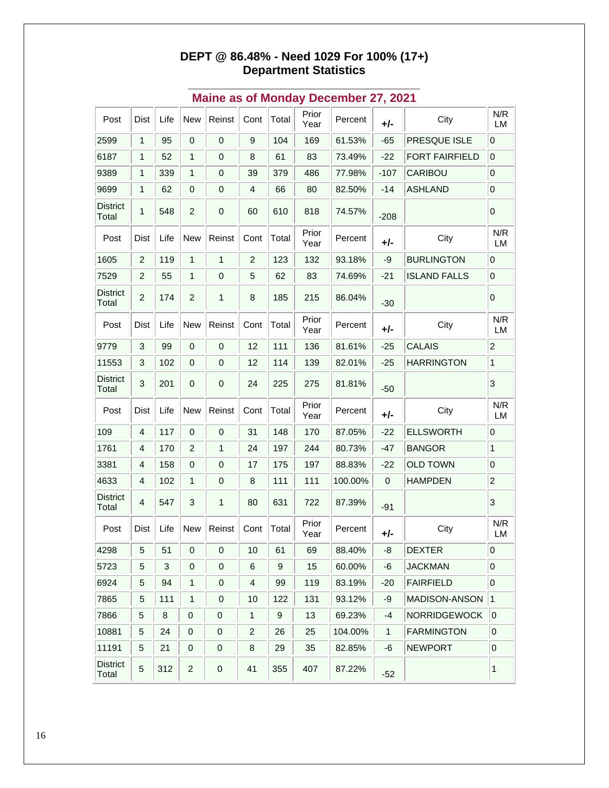#### **DEPT @ 86.48% - Need 1029 For 100% (17+) Department Statistics**

| Post                     | Dist           | Life                      | <b>New</b>                                | Reinst       | Cont           | Total            | Prior<br>Year | Percent | +/-         | City                  | N/R<br>LM           |
|--------------------------|----------------|---------------------------|-------------------------------------------|--------------|----------------|------------------|---------------|---------|-------------|-----------------------|---------------------|
| 2599                     | 1              | 95                        | $\mathbf 0$                               | $\pmb{0}$    | 9              | 104              | 169           | 61.53%  | $-65$       | PRESQUE ISLE          | 0                   |
| 6187                     | 1              | 52                        | 1                                         | 0            | 8              | 61               | 83            | 73.49%  | $-22$       | <b>FORT FAIRFIELD</b> | $\overline{0}$      |
| 9389                     | 1              | 339                       | 1                                         | 0            | 39             | 379              | 486           | 77.98%  | $-107$      | CARIBOU               | $\pmb{0}$           |
| 9699                     | 1              | 62                        | $\mathbf 0$                               | $\pmb{0}$    | 4              | 66               | 80            | 82.50%  | $-14$       | <b>ASHLAND</b>        | $\mathsf{O}\xspace$ |
| <b>District</b><br>Total | 1              | 548                       | $\overline{c}$                            | $\mathbf 0$  | 60             | 610              | 818           | 74.57%  | $-208$      |                       | 0                   |
| Post                     | Dist           | Life                      | <b>New</b>                                | Reinst       | Cont           | Total            | Prior<br>Year | Percent | +/-         | City                  | N/R<br>LM           |
| 1605                     | $\overline{c}$ | 119                       | 1                                         | 1            | $\overline{2}$ | 123              | 132           | 93.18%  | -9          | <b>BURLINGTON</b>     | $\pmb{0}$           |
| 7529                     | $\overline{c}$ | 55                        | $\mathbf{1}$                              | 0            | 5              | 62               | 83            | 74.69%  | $-21$       | <b>ISLAND FALLS</b>   | $\overline{0}$      |
| <b>District</b><br>Total | $\overline{c}$ | 174                       | $\overline{c}$                            | $\mathbf{1}$ | 8              | 185              | 215           | 86.04%  | $-30$       |                       | $\mathbf 0$         |
| Post                     | Dist           | Life                      | <b>New</b>                                | Reinst       | Cont           | Total            | Prior<br>Year | Percent | +/-         | City                  | N/R<br>LM           |
| 9779                     | 3              | 99                        | $\boldsymbol{0}$                          | $\pmb{0}$    | 12             | 111              | 136           | 81.61%  | $-25$       | <b>CALAIS</b>         | $\overline{c}$      |
| 11553                    | 3              | 102                       | $\mathbf 0$                               | 0            | 12             | 114              | 139           | 82.01%  | $-25$       | <b>HARRINGTON</b>     | 1                   |
| <b>District</b><br>Total | 3              | 201                       | 0                                         | $\mathbf 0$  | 24             | 225              | 275           | 81.81%  | $-50$       |                       | 3                   |
| Post                     | Dist           | Life                      | <b>New</b>                                | Reinst       | Cont           | Total            | Prior<br>Year | Percent | +/-         | City                  | N/R<br>LM           |
| 109                      | 4              | 117                       | 0                                         | 0            | 31             | 148              | 170           | 87.05%  | $-22$       | <b>ELLSWORTH</b>      | $\pmb{0}$           |
| 1761                     | $\overline{4}$ | 170                       | $\overline{2}$                            | $\mathbf{1}$ | 24             | 197              | 244           | 80.73%  | $-47$       | <b>BANGOR</b>         | $\mathbf{1}$        |
| 3381                     | 4              | 158                       | $\mathbf 0$                               | 0            | 17             | 175              | 197           | 88.83%  | $-22$       | <b>OLD TOWN</b>       | $\boldsymbol{0}$    |
| 4633                     | 4              | 102                       | 1                                         | 0            | 8              | 111              | 111           | 100.00% | $\mathbf 0$ | <b>HAMPDEN</b>        | $\overline{c}$      |
| <b>District</b><br>Total | $\overline{4}$ | 547                       | 3                                         | $\mathbf{1}$ | 80             | 631              | 722           | 87.39%  | $-91$       |                       | 3                   |
| Post                     | Dist           | Life                      | <b>New</b>                                | Reinst       | Cont           | Total            | Prior<br>Year | Percent | +/-         | City                  | N/R<br>LM           |
| 4298                     | 5 <sup>5</sup> | $\vert 51 \vert$          | $\begin{array}{ c c } \hline \end{array}$ |              | $\vert$ 10     | $ 61\rangle$     | 69            | 88.40%  | $-8$        | <b>DEXTER</b>         | 0                   |
| 5723                     | 5              | $\ensuremath{\mathsf{3}}$ | $\mathbf 0$                               | 0            | 6              | 9                | 15            | 60.00%  | -6          | <b>JACKMAN</b>        | $\pmb{0}$           |
| 6924                     | 5              | 94                        | 1                                         | 0            | 4              | 99               | 119           | 83.19%  | $-20$       | <b>FAIRFIELD</b>      | $\overline{0}$      |
| 7865                     | 5              | 111                       | 1                                         | 0            | 10             | 122              | 131           | 93.12%  | -9          | <b>MADISON-ANSON</b>  | 1                   |
| 7866                     | $\sqrt{5}$     | 8                         | 0                                         | 0            | 1              | $\boldsymbol{9}$ | 13            | 69.23%  | -4          | NORRIDGEWOCK          | $\overline{0}$      |
| 10881                    | 5              | 24                        | 0                                         | 0            | 2              | 26               | 25            | 104.00% | 1           | <b>FARMINGTON</b>     | $\pmb{0}$           |
| 11191                    | 5              | 21                        | $\pmb{0}$                                 | 0            | 8              | 29               | 35            | 82.85%  | -6          | <b>NEWPORT</b>        | $\pmb{0}$           |
| <b>District</b><br>Total | 5              | 312                       | $\overline{c}$                            | 0            | 41             | 355              | 407           | 87.22%  | $-52$       |                       | 1                   |

#### **\_\_\_\_\_\_\_\_\_\_\_\_\_\_\_\_\_\_\_\_\_\_\_\_\_\_\_\_\_\_\_\_\_\_\_ Maine as of Monday December 27, 2021**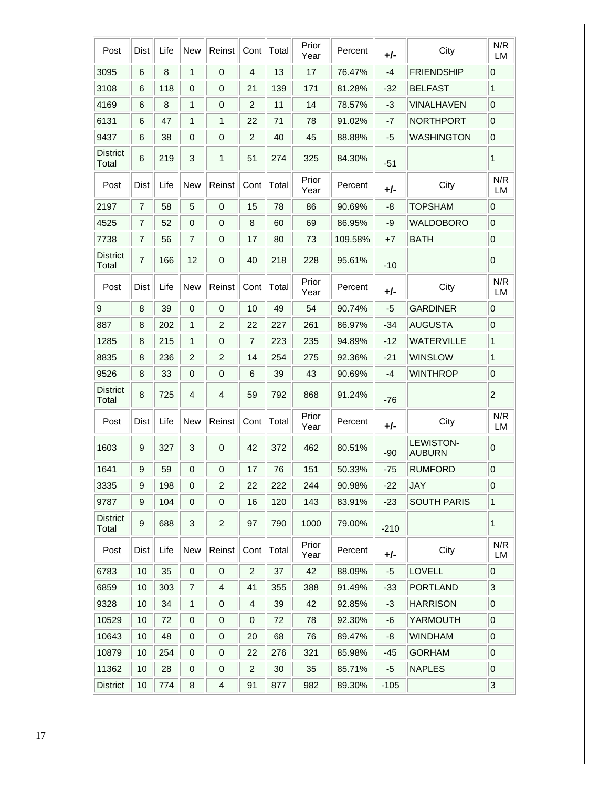| Post                     | Dist             | Life | <b>New</b>                | Reinst                  | Cont           | Total | Prior<br>Year | Percent | $+/-$  | City                              | N/R<br><b>LM</b>          |
|--------------------------|------------------|------|---------------------------|-------------------------|----------------|-------|---------------|---------|--------|-----------------------------------|---------------------------|
| 3095                     | 6                | 8    | $\mathbf{1}$              | $\mathbf 0$             | 4              | 13    | 17            | 76.47%  | -4     | <b>FRIENDSHIP</b>                 | 0                         |
| 3108                     | 6                | 118  | 0                         | $\mathbf 0$             | 21             | 139   | 171           | 81.28%  | $-32$  | <b>BELFAST</b>                    | 1                         |
| 4169                     | 6                | 8    | $\mathbf{1}$              | 0                       | $\overline{2}$ | 11    | 14            | 78.57%  | -3     | VINALHAVEN                        | $\mathbf 0$               |
| 6131                     | 6                | 47   | $\mathbf{1}$              | $\mathbf{1}$            | 22             | 71    | 78            | 91.02%  | -7     | <b>NORTHPORT</b>                  | $\mathbf 0$               |
| 9437                     | 6                | 38   | $\mathbf 0$               | $\mathbf 0$             | $\overline{c}$ | 40    | 45            | 88.88%  | -5     | <b>WASHINGTON</b>                 | $\mathbf 0$               |
| <b>District</b><br>Total | 6                | 219  | 3                         | 1                       | 51             | 274   | 325           | 84.30%  | $-51$  |                                   | 1                         |
| Post                     | Dist             | Life | New                       | Reinst                  | Cont           | Total | Prior<br>Year | Percent | $+/-$  | City                              | N/R<br><b>LM</b>          |
| 2197                     | 7                | 58   | 5                         | 0                       | 15             | 78    | 86            | 90.69%  | -8     | <b>TOPSHAM</b>                    | 0                         |
| 4525                     | $\overline{7}$   | 52   | $\mathbf 0$               | 0                       | 8              | 60    | 69            | 86.95%  | -9     | <b>WALDOBORO</b>                  | $\mathbf 0$               |
| 7738                     | 7                | 56   | $\overline{7}$            | 0                       | 17             | 80    | 73            | 109.58% | $+7$   | <b>BATH</b>                       | $\mathbf 0$               |
| <b>District</b><br>Total | 7                | 166  | 12                        | 0                       | 40             | 218   | 228           | 95.61%  | $-10$  |                                   | 0                         |
| Post                     | Dist             | Life | New                       | Reinst                  | Cont           | Total | Prior<br>Year | Percent | +/-    | City                              | N/R<br><b>LM</b>          |
| 9                        | 8                | 39   | 0                         | $\mathbf 0$             | 10             | 49    | 54            | 90.74%  | -5     | <b>GARDINER</b>                   | $\mathbf 0$               |
| 887                      | 8                | 202  | 1                         | $\overline{2}$          | 22             | 227   | 261           | 86.97%  | $-34$  | <b>AUGUSTA</b>                    | $\mathbf 0$               |
| 1285                     | 8                | 215  | 1                         | 0                       | 7              | 223   | 235           | 94.89%  | $-12$  | <b>WATERVILLE</b>                 | $\mathbf{1}$              |
| 8835                     | 8                | 236  | 2                         | $\overline{2}$          | 14             | 254   | 275           | 92.36%  | $-21$  | <b>WINSLOW</b>                    | $\mathbf{1}$              |
| 9526                     | 8                | 33   | $\mathbf 0$               | 0                       | 6              | 39    | 43            | 90.69%  | -4     | <b>WINTHROP</b>                   | $\mathbf 0$               |
| <b>District</b><br>Total | 8                | 725  | 4                         | 4                       | 59             | 792   | 868           | 91.24%  | $-76$  |                                   | $\overline{c}$            |
| Post                     | Dist             | Life | New                       | Reinst                  | Cont           | Total | Prior<br>Year | Percent | +/-    | City                              | N/R<br>LM                 |
| 1603                     | 9                | 327  | 3                         | 0                       | 42             | 372   | 462           | 80.51%  | $-90$  | <b>LEWISTON-</b><br><b>AUBURN</b> | 0                         |
| 1641                     | 9                | 59   | $\mathbf 0$               | 0                       | 17             | 76    | 151           | 50.33%  | $-75$  | <b>RUMFORD</b>                    | $\boldsymbol{0}$          |
| 3335                     | 9                | 198  | $\mathbf 0$               | $\overline{2}$          | 22             | 222   | 244           | 90.98%  | $-22$  | <b>JAY</b>                        | $\mbox{O}$                |
| 9787                     | $\boldsymbol{9}$ | 104  | 0                         | $\pmb{0}$               | 16             | 120   | 143           | 83.91%  | $-23$  | <b>SOUTH PARIS</b>                | $\mathbf{1}$              |
| <b>District</b><br>Total | 9                | 688  | $\ensuremath{\mathsf{3}}$ | $\overline{c}$          | 97             | 790   | 1000          | 79.00%  | $-210$ |                                   | $\mathbf{1}$              |
| Post                     | Dist             | Life | New                       | Reinst                  | Cont           | Total | Prior<br>Year | Percent | $+/-$  | City                              | N/R<br>LM                 |
| 6783                     | 10               | 35   | 0                         | $\pmb{0}$               | $\overline{c}$ | 37    | 42            | 88.09%  | -5     | LOVELL                            | $\mathbf 0$               |
| 6859                     | 10               | 303  | $\overline{7}$            | 4                       | 41             | 355   | 388           | 91.49%  | $-33$  | <b>PORTLAND</b>                   | 3                         |
| 9328                     | 10               | 34   | $\mathbf 1$               | $\mathbf 0$             | 4              | 39    | 42            | 92.85%  | $-3$   | <b>HARRISON</b>                   | $\mathbf 0$               |
| 10529                    | 10               | 72   | $\pmb{0}$                 | $\mathbf 0$             | 0              | 72    | 78            | 92.30%  | -6     | YARMOUTH                          | $\mathbf 0$               |
| 10643                    | 10               | 48   | $\boldsymbol{0}$          | 0                       | 20             | 68    | 76            | 89.47%  | -8     | <b>WINDHAM</b>                    | $\pmb{0}$                 |
| 10879                    | 10               | 254  | $\mathbf 0$               | 0                       | 22             | 276   | 321           | 85.98%  | -45    | <b>GORHAM</b>                     | $\boldsymbol{0}$          |
| 11362                    | 10               | 28   | $\boldsymbol{0}$          | 0                       | $\overline{2}$ | 30    | 35            | 85.71%  | -5     | <b>NAPLES</b>                     | $\mbox{O}$                |
| <b>District</b>          | 10               | 774  | 8                         | $\overline{\mathbf{4}}$ | 91             | 877   | 982           | 89.30%  | $-105$ |                                   | $\ensuremath{\mathsf{3}}$ |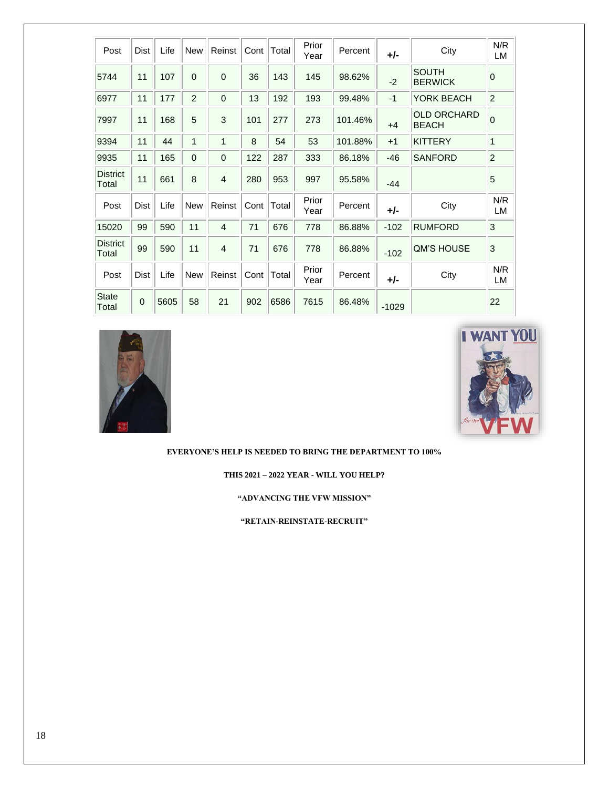| Post                     | Dist        | Life | <b>New</b>     | Reinst         | Cont | Total | Prior<br>Year | Percent | +/-     | City                               | N/R<br>LM      |
|--------------------------|-------------|------|----------------|----------------|------|-------|---------------|---------|---------|------------------------------------|----------------|
| 5744                     | 11          | 107  | $\Omega$       | $\mathbf{0}$   | 36   | 143   | 145           | 98.62%  | $-2$    | <b>SOUTH</b><br><b>BERWICK</b>     | $\mathbf 0$    |
| 6977                     | 11          | 177  | $\overline{2}$ | $\mathbf 0$    | 13   | 192   | 193           | 99.48%  | $-1$    | YORK BEACH                         | $\overline{c}$ |
| 7997                     | 11          | 168  | 5              | 3              | 101  | 277   | 273           | 101.46% | $+4$    | <b>OLD ORCHARD</b><br><b>BEACH</b> | $\mathbf 0$    |
| 9394                     | 11          | 44   | 1              | 1              | 8    | 54    | 53            | 101.88% | $+1$    | <b>KITTERY</b>                     | 1              |
| 9935                     | 11          | 165  | 0              | $\mathbf 0$    | 122  | 287   | 333           | 86.18%  | $-46$   | <b>SANFORD</b>                     | $\overline{c}$ |
| <b>District</b><br>Total | 11          | 661  | 8              | $\overline{4}$ | 280  | 953   | 997           | 95.58%  | $-44$   |                                    | 5              |
| Post                     | <b>Dist</b> | Life | <b>New</b>     | Reinst         | Cont | Total | Prior<br>Year | Percent | +/-     | City                               | N/R<br>LM      |
| 15020                    | 99          | 590  | 11             | $\overline{4}$ | 71   | 676   | 778           | 86.88%  | $-102$  | <b>RUMFORD</b>                     | 3              |
| <b>District</b><br>Total | 99          | 590  | 11             | 4              | 71   | 676   | 778           | 86.88%  | $-102$  | <b>QM'S HOUSE</b>                  | 3              |
| Post                     | <b>Dist</b> | Life | <b>New</b>     | Reinst         | Cont | Total | Prior<br>Year | Percent | +/-     | City                               | N/R<br>LM      |
| <b>State</b><br>Total    | $\mathbf 0$ | 5605 | 58             | 21             | 902  | 6586  | 7615          | 86.48%  | $-1029$ |                                    | 22             |





**EVERYONE'S HELP IS NEEDED TO BRING THE DEPARTMENT TO 100%**

**THIS 2021 – 2022 YEAR - WILL YOU HELP?**

**"ADVANCING THE VFW MISSION"** 

**"RETAIN-REINSTATE-RECRUIT"**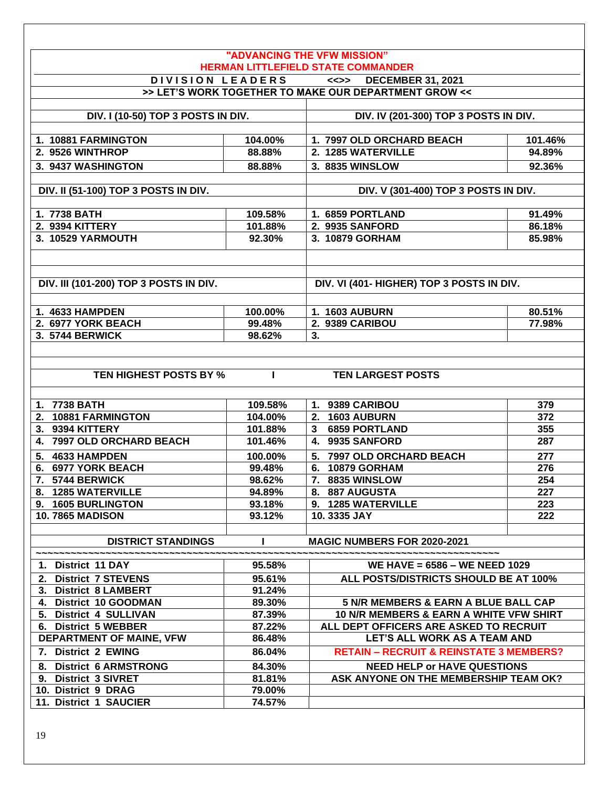|                                               |                  | "ADVANCING THE VFW MISSION"                                                     |            |  |  |  |  |  |  |  |  |
|-----------------------------------------------|------------------|---------------------------------------------------------------------------------|------------|--|--|--|--|--|--|--|--|
|                                               |                  | <b>HERMAN LITTLEFIELD STATE COMMANDER</b>                                       |            |  |  |  |  |  |  |  |  |
| DIVISION LEADERS                              |                  | <<>> DECEMBER 31, 2021<br>>> LET'S WORK TOGETHER TO MAKE OUR DEPARTMENT GROW << |            |  |  |  |  |  |  |  |  |
|                                               |                  |                                                                                 |            |  |  |  |  |  |  |  |  |
| DIV. I (10-50) TOP 3 POSTS IN DIV.            |                  | DIV. IV (201-300) TOP 3 POSTS IN DIV.                                           |            |  |  |  |  |  |  |  |  |
|                                               |                  |                                                                                 |            |  |  |  |  |  |  |  |  |
| 1. 10881 FARMINGTON                           | 104.00%          | 1. 7997 OLD ORCHARD BEACH                                                       | 101.46%    |  |  |  |  |  |  |  |  |
| 2. 9526 WINTHROP                              | 88.88%           | 2. 1285 WATERVILLE                                                              | 94.89%     |  |  |  |  |  |  |  |  |
| 3. 9437 WASHINGTON                            | 88.88%           | 3. 8835 WINSLOW                                                                 | 92.36%     |  |  |  |  |  |  |  |  |
|                                               |                  |                                                                                 |            |  |  |  |  |  |  |  |  |
| DIV. II (51-100) TOP 3 POSTS IN DIV.          |                  | DIV. V (301-400) TOP 3 POSTS IN DIV.                                            |            |  |  |  |  |  |  |  |  |
|                                               |                  |                                                                                 |            |  |  |  |  |  |  |  |  |
| 1. 7738 BATH                                  | 109.58%          | 1. 6859 PORTLAND                                                                | 91.49%     |  |  |  |  |  |  |  |  |
| 2. 9394 KITTERY                               | 101.88%          | 2. 9935 SANFORD                                                                 | 86.18%     |  |  |  |  |  |  |  |  |
| 3. 10529 YARMOUTH                             | 92.30%           | 3. 10879 GORHAM                                                                 | 85.98%     |  |  |  |  |  |  |  |  |
|                                               |                  |                                                                                 |            |  |  |  |  |  |  |  |  |
|                                               |                  |                                                                                 |            |  |  |  |  |  |  |  |  |
| <b>DIV. III (101-200) TOP 3 POSTS IN DIV.</b> |                  | DIV. VI (401- HIGHER) TOP 3 POSTS IN DIV.                                       |            |  |  |  |  |  |  |  |  |
|                                               |                  |                                                                                 |            |  |  |  |  |  |  |  |  |
| 1. 4633 HAMPDEN                               | 100.00%          | 1. 1603 AUBURN                                                                  | 80.51%     |  |  |  |  |  |  |  |  |
| 2. 6977 YORK BEACH                            | 99.48%           | 2. 9389 CARIBOU                                                                 | 77.98%     |  |  |  |  |  |  |  |  |
| 3. 5744 BERWICK                               | 98.62%           | 3.                                                                              |            |  |  |  |  |  |  |  |  |
|                                               |                  |                                                                                 |            |  |  |  |  |  |  |  |  |
|                                               |                  |                                                                                 |            |  |  |  |  |  |  |  |  |
| <b>TEN HIGHEST POSTS BY %</b>                 |                  | <b>TEN LARGEST POSTS</b>                                                        |            |  |  |  |  |  |  |  |  |
|                                               |                  |                                                                                 |            |  |  |  |  |  |  |  |  |
|                                               |                  |                                                                                 |            |  |  |  |  |  |  |  |  |
| 1. 7738 BATH                                  | 109.58%          | 1. 9389 CARIBOU                                                                 | 379        |  |  |  |  |  |  |  |  |
| 2. 10881 FARMINGTON                           | 104.00%          | 2. 1603 AUBURN                                                                  | 372        |  |  |  |  |  |  |  |  |
| 3. 9394 KITTERY                               | 101.88%          | 3 6859 PORTLAND<br>4. 9935 SANFORD                                              | 355        |  |  |  |  |  |  |  |  |
| 4. 7997 OLD ORCHARD BEACH                     | 101.46%          |                                                                                 | 287        |  |  |  |  |  |  |  |  |
| 4633 HAMPDEN<br>5.                            | 100.00%          | 5. 7997 OLD ORCHARD BEACH                                                       | 277        |  |  |  |  |  |  |  |  |
| 6. 6977 YORK BEACH                            | 99.48%           | 6. 10879 GORHAM                                                                 | 276        |  |  |  |  |  |  |  |  |
| 7. 5744 BERWICK                               | 98.62%           | 7. 8835 WINSLOW                                                                 | 254        |  |  |  |  |  |  |  |  |
| 8. 1285 WATERVILLE<br>9. 1605 BURLINGTON      | 94.89%<br>93.18% | 8. 887 AUGUSTA<br>9. 1285 WATERVILLE                                            | 227<br>223 |  |  |  |  |  |  |  |  |
| <b>10.7865 MADISON</b>                        | 93.12%           | 10.3335 JAY                                                                     | 222        |  |  |  |  |  |  |  |  |
|                                               |                  |                                                                                 |            |  |  |  |  |  |  |  |  |
| <b>DISTRICT STANDINGS</b>                     |                  | MAGIC NUMBERS FOR 2020-2021                                                     |            |  |  |  |  |  |  |  |  |
|                                               |                  |                                                                                 |            |  |  |  |  |  |  |  |  |
| 1. District 11 DAY                            | 95.58%           | WE HAVE = 6586 - WE NEED 1029                                                   |            |  |  |  |  |  |  |  |  |
| 2. District 7 STEVENS                         | 95.61%           | ALL POSTS/DISTRICTS SHOULD BE AT 100%                                           |            |  |  |  |  |  |  |  |  |
| 3. District 8 LAMBERT                         | 91.24%           |                                                                                 |            |  |  |  |  |  |  |  |  |
| 4. District 10 GOODMAN                        | 89.30%           | 5 N/R MEMBERS & EARN A BLUE BALL CAP                                            |            |  |  |  |  |  |  |  |  |
| 5. District 4 SULLIVAN                        | 87.39%           | 10 N/R MEMBERS & EARN A WHITE VFW SHIRT                                         |            |  |  |  |  |  |  |  |  |
| 6. District 5 WEBBER                          | 87.22%           | ALL DEPT OFFICERS ARE ASKED TO RECRUIT                                          |            |  |  |  |  |  |  |  |  |
| DEPARTMENT OF MAINE, VFW                      | 86.48%           | LET'S ALL WORK AS A TEAM AND                                                    |            |  |  |  |  |  |  |  |  |
| 7. District 2 EWING                           | 86.04%           | <b>RETAIN - RECRUIT &amp; REINSTATE 3 MEMBERS?</b>                              |            |  |  |  |  |  |  |  |  |
| <b>District 6 ARMSTRONG</b><br>8.             | 84.30%           | <b>NEED HELP or HAVE QUESTIONS</b>                                              |            |  |  |  |  |  |  |  |  |
| <b>District 3 SIVRET</b><br>9.                | 81.81%           | ASK ANYONE ON THE MEMBERSHIP TEAM OK?                                           |            |  |  |  |  |  |  |  |  |
| 10. District 9 DRAG                           | 79.00%           |                                                                                 |            |  |  |  |  |  |  |  |  |
| 11. District 1 SAUCIER                        | 74.57%           |                                                                                 |            |  |  |  |  |  |  |  |  |
|                                               |                  |                                                                                 |            |  |  |  |  |  |  |  |  |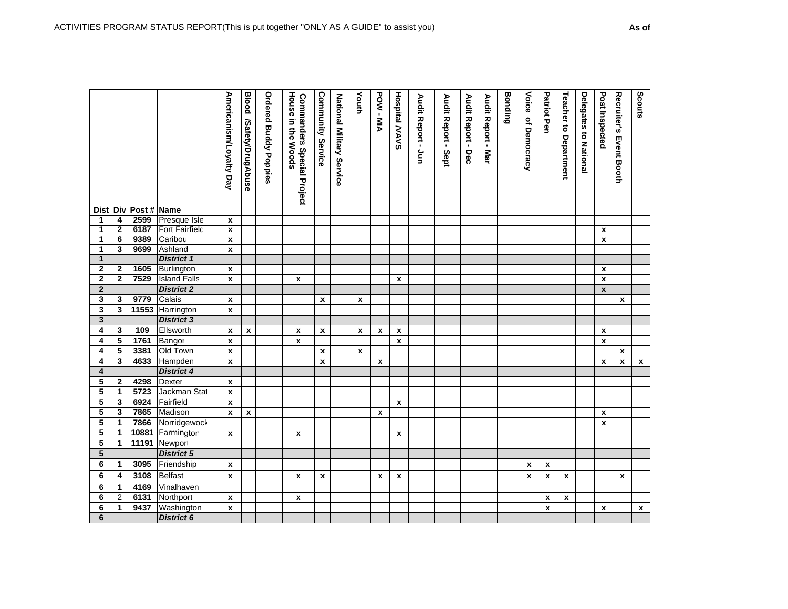|                         |                | Dist Div Post # Name |                       | Americanism/Loyalty Day | <b>Blood</b><br>/Safety/DrugAbuse | <b>Ordered Buddy Poppies</b> | House<br><b>Commanders Special Project</b><br>in the Woods | Community<br>Service | National Military Service | Youth        | POW-MIA      | <b>Hospital MAVS</b>      | Audit Report - Jun | Audit Report - Sept | Audit Report - Dec | Audit Report -<br><b>Mar</b> | Bonding | Voice<br>of Democracy | <b>Patriot Pen</b> | <b>Teacher to Department</b> | <b>Delegates to National</b> | Post Inspected     | <b>Recruiter's Event Booth</b> | Scouts             |
|-------------------------|----------------|----------------------|-----------------------|-------------------------|-----------------------------------|------------------------------|------------------------------------------------------------|----------------------|---------------------------|--------------|--------------|---------------------------|--------------------|---------------------|--------------------|------------------------------|---------|-----------------------|--------------------|------------------------------|------------------------------|--------------------|--------------------------------|--------------------|
| 1                       | 4              | 2599                 | Presque Isle          | $\pmb{\chi}$            |                                   |                              |                                                            |                      |                           |              |              |                           |                    |                     |                    |                              |         |                       |                    |                              |                              |                    |                                |                    |
| 1                       | $\mathbf{2}$   | 6187                 | <b>Fort Fairfield</b> | $\mathbf{x}$            |                                   |                              |                                                            |                      |                           |              |              |                           |                    |                     |                    |                              |         |                       |                    |                              |                              | $\mathbf{x}$       |                                |                    |
| 1                       | 6              | 9389                 | Caribou               | $\pmb{\chi}$            |                                   |                              |                                                            |                      |                           |              |              |                           |                    |                     |                    |                              |         |                       |                    |                              |                              | $\mathbf{x}$       |                                |                    |
| 1                       | 3              | 9699                 | Ashland               | $\mathbf{x}$            |                                   |                              |                                                            |                      |                           |              |              |                           |                    |                     |                    |                              |         |                       |                    |                              |                              |                    |                                |                    |
| $\mathbf{1}$            |                |                      | <b>District 1</b>     |                         |                                   |                              |                                                            |                      |                           |              |              |                           |                    |                     |                    |                              |         |                       |                    |                              |                              |                    |                                |                    |
| $\overline{2}$          | $\mathbf{2}$   | 1605                 | Burlington            | X                       |                                   |                              |                                                            |                      |                           |              |              |                           |                    |                     |                    |                              |         |                       |                    |                              |                              | $\boldsymbol{x}$   |                                |                    |
| $\overline{2}$          | $\mathbf{2}$   | 7529                 | <b>Island Falls</b>   | $\mathbf{x}$            |                                   |                              | x                                                          |                      |                           |              |              | $\mathbf{x}$              |                    |                     |                    |                              |         |                       |                    |                              |                              | $\mathbf{x}$       |                                |                    |
| $\overline{2}$          |                |                      | <b>District 2</b>     |                         |                                   |                              |                                                            |                      |                           |              |              |                           |                    |                     |                    |                              |         |                       |                    |                              |                              | $\mathbf{x}$       |                                |                    |
| 3                       | 3              | 9779                 | Calais                | $\mathbf{x}$            |                                   |                              |                                                            | $\mathbf{x}$         |                           | $\mathbf x$  |              |                           |                    |                     |                    |                              |         |                       |                    |                              |                              |                    | $\mathbf{x}$                   |                    |
| $\overline{\mathbf{3}}$ | 3              |                      | 11553 Harrington      | $\pmb{\chi}$            |                                   |                              |                                                            |                      |                           |              |              |                           |                    |                     |                    |                              |         |                       |                    |                              |                              |                    |                                |                    |
| $\mathbf{3}$            |                |                      | <b>District 3</b>     |                         |                                   |                              |                                                            |                      |                           |              |              |                           |                    |                     |                    |                              |         |                       |                    |                              |                              |                    |                                |                    |
| 4                       | 3              | 109                  | Ellsworth             | X                       | $\pmb{\mathsf{x}}$                |                              | $\pmb{\chi}$                                               | $\boldsymbol{x}$     |                           | $\mathbf x$  | $\mathbf x$  | $\pmb{\mathsf{x}}$        |                    |                     |                    |                              |         |                       |                    |                              |                              | $\mathbf{x}$       |                                |                    |
| 4                       | 5              | 1761                 | Bangor                | $\pmb{\mathsf{x}}$      |                                   |                              | $\pmb{\mathsf{x}}$                                         |                      |                           |              |              | $\mathbf{x}$              |                    |                     |                    |                              |         |                       |                    |                              |                              | $\pmb{\mathsf{x}}$ |                                |                    |
| 4                       | 5              | 3381                 | Old Town              | x                       |                                   |                              |                                                            | $\boldsymbol{x}$     |                           | $\pmb{\chi}$ |              |                           |                    |                     |                    |                              |         |                       |                    |                              |                              |                    | x                              |                    |
| 4                       | 3              | 4633                 | Hampden               | $\pmb{\chi}$            |                                   |                              |                                                            | $\boldsymbol{x}$     |                           |              | $\mathbf x$  |                           |                    |                     |                    |                              |         |                       |                    |                              |                              | X                  | $\pmb{\chi}$                   | $\boldsymbol{x}$   |
| $\overline{\mathbf{4}}$ |                |                      | <b>District 4</b>     |                         |                                   |                              |                                                            |                      |                           |              |              |                           |                    |                     |                    |                              |         |                       |                    |                              |                              |                    |                                |                    |
| 5                       | $\mathbf{2}$   | 4298                 | <b>Dexter</b>         | $\mathbf x$             |                                   |                              |                                                            |                      |                           |              |              |                           |                    |                     |                    |                              |         |                       |                    |                              |                              |                    |                                |                    |
| 5                       | $\mathbf{1}$   | 5723                 | Jackman Stat          | $\pmb{\chi}$            |                                   |                              |                                                            |                      |                           |              |              |                           |                    |                     |                    |                              |         |                       |                    |                              |                              |                    |                                |                    |
| 5                       | 3              | 6924                 | Fairfield             | X                       |                                   |                              |                                                            |                      |                           |              |              | $\mathbf{x}$              |                    |                     |                    |                              |         |                       |                    |                              |                              |                    |                                |                    |
| 5                       | 3              | 7865                 | Madison               | $\pmb{\chi}$            | $\pmb{\mathsf{x}}$                |                              |                                                            |                      |                           |              | $\mathbf x$  |                           |                    |                     |                    |                              |         |                       |                    |                              |                              | $\pmb{\chi}$       |                                |                    |
| 5                       | $\mathbf 1$    | 7866                 | Norridgewock          |                         |                                   |                              |                                                            |                      |                           |              |              |                           |                    |                     |                    |                              |         |                       |                    |                              |                              | $\pmb{\chi}$       |                                |                    |
| 5                       | 1              | 10881                | Farmington            | $\pmb{\chi}$            |                                   |                              | $\pmb{\chi}$                                               |                      |                           |              |              | $\mathbf x$               |                    |                     |                    |                              |         |                       |                    |                              |                              |                    |                                |                    |
| 5                       | $\mathbf{1}$   | 11191                | Newport               |                         |                                   |                              |                                                            |                      |                           |              |              |                           |                    |                     |                    |                              |         |                       |                    |                              |                              |                    |                                |                    |
| 5                       |                |                      | <b>District 5</b>     |                         |                                   |                              |                                                            |                      |                           |              |              |                           |                    |                     |                    |                              |         |                       |                    |                              |                              |                    |                                |                    |
| 6                       | $\mathbf 1$    | 3095                 | Friendship            | x                       |                                   |                              |                                                            |                      |                           |              |              |                           |                    |                     |                    |                              |         | $\mathbf{x}$          | $\mathbf{x}$       |                              |                              |                    |                                |                    |
| 6                       | 4              | 3108                 | <b>Belfast</b>        | $\pmb{\mathsf{x}}$      |                                   |                              | x                                                          | $\pmb{\chi}$         |                           |              | $\pmb{\chi}$ | $\boldsymbol{\mathsf{x}}$ |                    |                     |                    |                              |         | X                     | $\pmb{\mathsf{x}}$ | $\pmb{\chi}$                 |                              |                    | $\pmb{\mathsf{x}}$             |                    |
| 6                       | $\mathbf 1$    | 4169                 | Vinalhaven            |                         |                                   |                              |                                                            |                      |                           |              |              |                           |                    |                     |                    |                              |         |                       |                    |                              |                              |                    |                                |                    |
| 6                       | $\overline{2}$ | 6131                 | Northport             | $\pmb{\mathsf{x}}$      |                                   |                              | $\pmb{\chi}$                                               |                      |                           |              |              |                           |                    |                     |                    |                              |         |                       | $\pmb{\mathsf{x}}$ | $\pmb{\mathsf{x}}$           |                              |                    |                                |                    |
| 6                       | $\mathbf{1}$   | 9437                 | Washington            | $\pmb{\mathsf{x}}$      |                                   |                              |                                                            |                      |                           |              |              |                           |                    |                     |                    |                              |         |                       | $\pmb{\mathsf{x}}$ |                              |                              | $\pmb{\mathsf{x}}$ |                                | $\pmb{\mathsf{x}}$ |
| 6                       |                |                      | <b>District 6</b>     |                         |                                   |                              |                                                            |                      |                           |              |              |                           |                    |                     |                    |                              |         |                       |                    |                              |                              |                    |                                |                    |